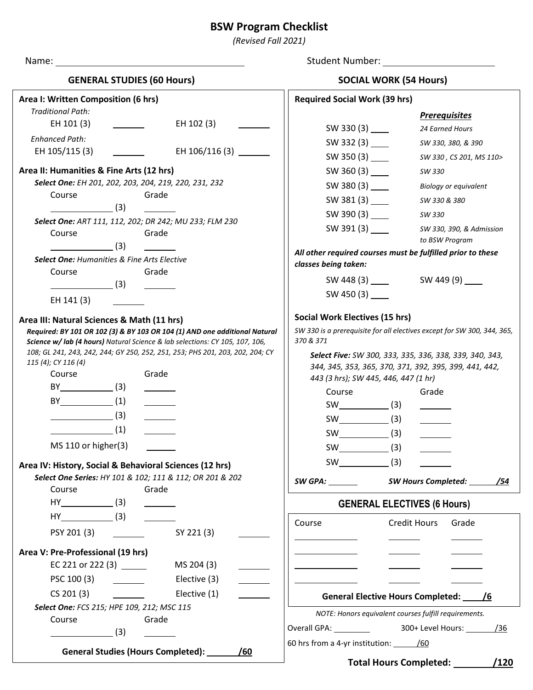# **BSW Program Checklist**

*(Revised Fall 2021)*

|                                                                                                                                                            | Student Number: The Contract of the Contract of the Contract of the Contract of the Contract of the Contract o |  |  |
|------------------------------------------------------------------------------------------------------------------------------------------------------------|----------------------------------------------------------------------------------------------------------------|--|--|
| <b>GENERAL STUDIES (60 Hours)</b>                                                                                                                          | <b>SOCIAL WORK (54 Hours)</b>                                                                                  |  |  |
| Area I: Written Composition (6 hrs)                                                                                                                        | <b>Required Social Work (39 hrs)</b>                                                                           |  |  |
| <b>Traditional Path:</b>                                                                                                                                   | <b>Prerequisites</b>                                                                                           |  |  |
| EH 101 (3)                                                                                                                                                 | 24 Earned Hours                                                                                                |  |  |
| <b>Enhanced Path:</b>                                                                                                                                      | SW 332 $(3)$<br>SW 330, 380, & 390                                                                             |  |  |
| EH 106/116 (3)<br>EH 105/115 (3)<br>$\mathcal{L}=\mathcal{L}^{\text{max}}$ , where $\mathcal{L}^{\text{max}}$                                              | SW 350 (3) _____<br>SW 330, CS 201, MS 110>                                                                    |  |  |
| Area II: Humanities & Fine Arts (12 hrs)                                                                                                                   | SW 330                                                                                                         |  |  |
| Select One: EH 201, 202, 203, 204, 219, 220, 231, 232                                                                                                      | SW 380 $(3)$<br><b>Biology or equivalent</b>                                                                   |  |  |
| Grade<br>Course                                                                                                                                            | SW 381 $(3)$<br>SW 330 & 380                                                                                   |  |  |
| (3)                                                                                                                                                        | SW 390 (3) _____<br>SW 330                                                                                     |  |  |
| Select One: ART 111, 112, 202; DR 242; MU 233; FLM 230                                                                                                     | SW 391 (3) ______<br>SW 330, 390, & Admission                                                                  |  |  |
| Grade<br>Course<br>$\sim$ (3)                                                                                                                              | to BSW Program                                                                                                 |  |  |
| Select One: Humanities & Fine Arts Elective                                                                                                                | All other required courses must be fulfilled prior to these                                                    |  |  |
| Course<br>Grade                                                                                                                                            | classes being taken:                                                                                           |  |  |
| $\sim$ (3)                                                                                                                                                 | SW 448 (3) SW 449 (9)                                                                                          |  |  |
| EH 141 (3)                                                                                                                                                 | SW 450 $(3)$                                                                                                   |  |  |
| Area III: Natural Sciences & Math (11 hrs)                                                                                                                 | <b>Social Work Electives (15 hrs)</b>                                                                          |  |  |
| Required: BY 101 OR 102 (3) & BY 103 OR 104 (1) AND one additional Natural<br>Science w/ lab (4 hours) Natural Science & lab selections: CY 105, 107, 106, | SW 330 is a prerequisite for all electives except for SW 300, 344, 365,<br>370 & 371                           |  |  |
| 108; GL 241, 243, 242, 244; GY 250, 252, 251, 253; PHS 201, 203, 202, 204; CY                                                                              | Select Five: SW 300, 333, 335, 336, 338, 339, 340, 343,                                                        |  |  |
| 115 (4); CY 116 (4)                                                                                                                                        | 344, 345, 353, 365, 370, 371, 392, 395, 399, 441, 442,                                                         |  |  |
| Course<br>Grade                                                                                                                                            | 443 (3 hrs); SW 445, 446, 447 (1 hr)                                                                           |  |  |
| $BY$ (3)                                                                                                                                                   | Course<br>Grade                                                                                                |  |  |
| $BY$ (1)<br>$\overline{\phantom{a}}$                                                                                                                       | $SW$ (3)                                                                                                       |  |  |
| $\sim$ (3)                                                                                                                                                 |                                                                                                                |  |  |
| (1)                                                                                                                                                        |                                                                                                                |  |  |
| MS 110 or higher(3)                                                                                                                                        | $SW$ (3)                                                                                                       |  |  |
| Area IV: History, Social & Behavioral Sciences (12 hrs)                                                                                                    | $SW$ (3)                                                                                                       |  |  |
| Select One Series: HY 101 & 102; 111 & 112; OR 201 & 202                                                                                                   | SW GPA: SW Hours Completed: /54                                                                                |  |  |
| Course<br>Grade                                                                                                                                            |                                                                                                                |  |  |
|                                                                                                                                                            | <b>GENERAL ELECTIVES (6 Hours)</b>                                                                             |  |  |
| $HY$ (3)                                                                                                                                                   | <b>Credit Hours</b><br>Course<br>Grade                                                                         |  |  |
| PSY 201 (3)<br>SY 221 (3)                                                                                                                                  |                                                                                                                |  |  |
| Area V: Pre-Professional (19 hrs)                                                                                                                          |                                                                                                                |  |  |
| EC 221 or 222 (3) $\frac{1}{2}$<br>MS 204 (3)                                                                                                              |                                                                                                                |  |  |
| PSC 100 (3)<br>Elective (3)                                                                                                                                |                                                                                                                |  |  |
| CS 201 (3)<br>Elective (1)                                                                                                                                 | General Elective Hours Completed: /6                                                                           |  |  |
| Select One: FCS 215; HPE 109, 212; MSC 115                                                                                                                 | NOTE: Honors equivalent courses fulfill requirements.                                                          |  |  |
| Grade<br>Course                                                                                                                                            |                                                                                                                |  |  |
| $\sim$ (3)                                                                                                                                                 |                                                                                                                |  |  |
| <b>General Studies (Hours Completed):</b><br>/60                                                                                                           | 60 hrs from a 4-yr institution: /60                                                                            |  |  |
|                                                                                                                                                            | Total Hours Completed: /120                                                                                    |  |  |